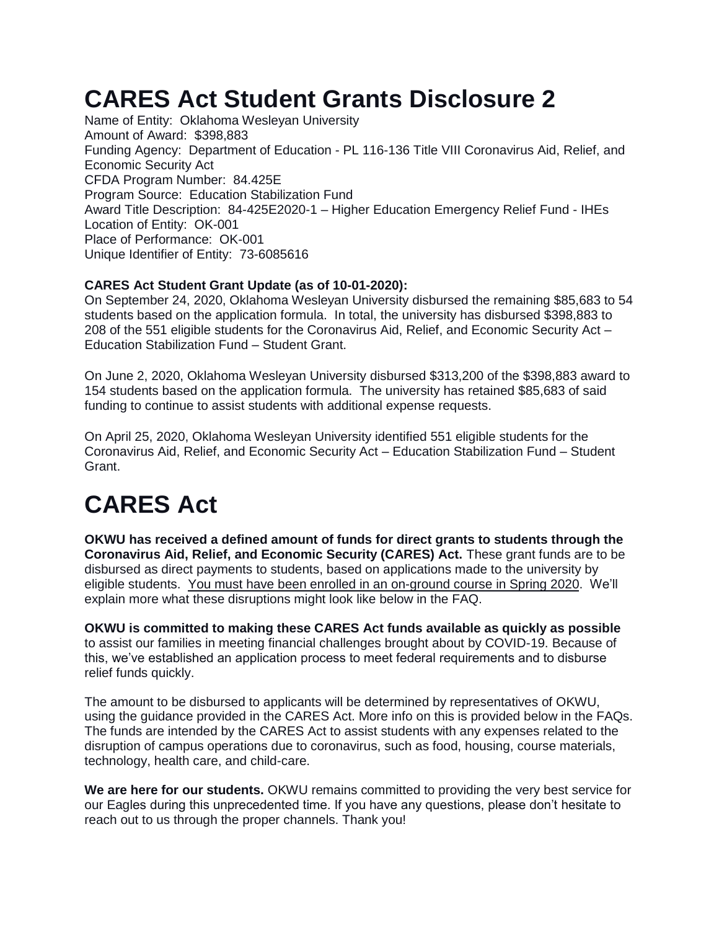## **CARES Act Student Grants Disclosure 2**

Name of Entity: Oklahoma Wesleyan University Amount of Award: \$398,883 Funding Agency: Department of Education - PL 116-136 Title VIII Coronavirus Aid, Relief, and Economic Security Act CFDA Program Number: 84.425E Program Source: Education Stabilization Fund Award Title Description: 84-425E2020-1 – Higher Education Emergency Relief Fund - IHEs Location of Entity: OK-001 Place of Performance: OK-001 Unique Identifier of Entity: 73-6085616

#### **CARES Act Student Grant Update (as of 10-01-2020):**

On September 24, 2020, Oklahoma Wesleyan University disbursed the remaining \$85,683 to 54 students based on the application formula. In total, the university has disbursed \$398,883 to 208 of the 551 eligible students for the Coronavirus Aid, Relief, and Economic Security Act – Education Stabilization Fund – Student Grant.

On June 2, 2020, Oklahoma Wesleyan University disbursed \$313,200 of the \$398,883 award to 154 students based on the application formula. The university has retained \$85,683 of said funding to continue to assist students with additional expense requests.

On April 25, 2020, Oklahoma Wesleyan University identified 551 eligible students for the Coronavirus Aid, Relief, and Economic Security Act – Education Stabilization Fund – Student Grant.

# **CARES Act**

**OKWU has received a defined amount of funds for direct grants to students through the Coronavirus Aid, Relief, and Economic Security (CARES) Act.** These grant funds are to be disbursed as direct payments to students, based on applications made to the university by eligible students. You must have been enrolled in an on-ground course in Spring 2020. We'll explain more what these disruptions might look like below in the FAQ.

**OKWU is committed to making these CARES Act funds available as quickly as possible** to assist our families in meeting financial challenges brought about by COVID-19. Because of this, we've established an application process to meet federal requirements and to disburse relief funds quickly.

The amount to be disbursed to applicants will be determined by representatives of OKWU, using the guidance provided in the CARES Act. More info on this is provided below in the FAQs. The funds are intended by the CARES Act to assist students with any expenses related to the disruption of campus operations due to coronavirus, such as food, housing, course materials, technology, health care, and child-care.

**We are here for our students.** OKWU remains committed to providing the very best service for our Eagles during this unprecedented time. If you have any questions, please don't hesitate to reach out to us through the proper channels. Thank you!